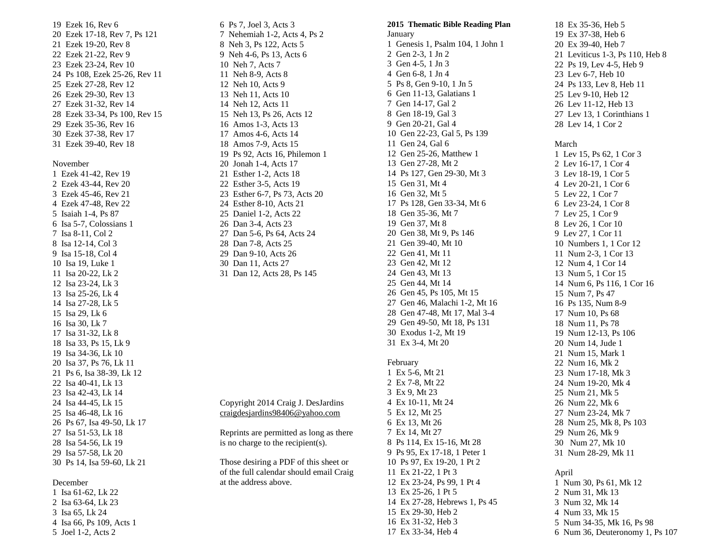19 Ezek 16, Rev 6 20 Ezek 17-18, Rev 7, Ps 121 21 Ezek 19-20, Rev 8 22 Ezek 21-22, Rev 9 23 Ezek 23-24, Rev 10 24 Ps 108, Ezek 25-26, Rev 11 25 Ezek 27-28, Rev 12 26 Ezek 29-30, Rev 13 27 Ezek 31-32, Rev 14 28 Ezek 33-34, Ps 100, Rev 15 29 Ezek 35-36, Rev 16 30 Ezek 37-38, Rev 17 31 Ezek 39-40, Rev 18

### November

1 Ezek 41-42, Rev 19 2 Ezek 43-44, Rev 20 3 Ezek 45-46, Rev 21 4 Ezek 47-48, Rev 22 5 Isaiah 1-4, Ps 87 6 Isa 5-7, Colossians 1 7 Isa 8-11, Col 2 8 Isa 12-14, Col 3 9 Isa 15-18, Col 4 10 Isa 19, Luke 1 11 Isa 20-22, Lk 2 12 Isa 23-24, Lk 3 13 Isa 25-26, Lk 4 14 Isa 27-28, Lk 5 15 Isa 29, Lk 6 16 Isa 30, Lk 7 17 Isa 31-32, Lk 8 18 Isa 33, Ps 15, Lk 9 19 Isa 34-36, Lk 10 20 Isa 37, Ps 76, Lk 11 21 Ps 6, Isa 38-39, Lk 12 22 Isa 40-41, Lk 13 23 Isa 42-43, Lk 14 24 Isa 44-45, Lk 15 25 Isa 46-48, Lk 16 26 Ps 67, Isa 49-50, Lk 17 27 Isa 51-53, Lk 18 28 Isa 54-56, Lk 19 29 Isa 57-58, Lk 20 30 Ps 14, Isa 59-60, Lk 21

#### December

1 Isa 61-62, Lk 22 2 Isa 63-64, Lk 23 3 Isa 65, Lk 24 4 Isa 66, Ps 109, Acts 1 5 Joel 1-2, Acts 2

6 Ps 7, Joel 3, Acts 3 7 Nehemiah 1-2, Acts 4, Ps 2 8 Neh 3, Ps 122, Acts 5 9 Neh 4-6, Ps 13, Acts 6 10 Neh 7, Acts 7 11 Neh 8-9, Acts 8 12 Neh 10, Acts 9 13 Neh 11, Acts 10 14 Neh 12, Acts 11 15 Neh 13, Ps 26, Acts 12 16 Amos 1-3, Acts 13 17 Amos 4-6, Acts 14 18 Amos 7-9, Acts 15 19 Ps 92, Acts 16, Philemon 1 20 Jonah 1-4, Acts 17 21 Esther 1-2, Acts 18 22 Esther 3-5, Acts 19 23 Esther 6-7, Ps 73, Acts 20 24 Esther 8-10, Acts 21 25 Daniel 1-2, Acts 22 26 Dan 3-4, Acts 23 27 Dan 5-6, Ps 64, Acts 24 28 Dan 7-8, Acts 25 29 Dan 9-10, Acts 26 30 Dan 11, Acts 27 31 Dan 12, Acts 28, Ps 145

Copyright 2014 Craig J. DesJardins [craigdesjardins98406@yahoo.com](mailto:craigdesjardins98406@yahoo.com)

Reprints are permitted as long as there is no charge to the recipient(s).

Those desiring a PDF of this sheet or of the full calendar should email Craig at the address above.

 **Thematic Bible Reading Plan** January Genesis 1, Psalm 104, 1 John 1 Gen 2-3, 1 Jn 2 Gen 4-5, 1 Jn 3 Gen 6-8, 1 Jn 4 Ps 8, Gen 9-10, 1 Jn 5 Gen 11-13, Galatians 1 Gen 14-17, Gal 2 Gen 18-19, Gal 3 Gen 20-21, Gal 4 Gen 22-23, Gal 5, Ps 139 Gen 24, Gal 6 Gen 25-26, Matthew 1 Gen 27-28, Mt 2 Ps 127, Gen 29-30, Mt 3 Gen 31, Mt 4 Gen 32, Mt 5 Ps 128, Gen 33-34, Mt 6 Gen 35-36, Mt 7 Gen 37, Mt 8 Gen 38, Mt 9, Ps 146 Gen 39-40, Mt 10 Gen 41, Mt 11 Gen 42, Mt 12 Gen 43, Mt 13 Gen 44, Mt 14 Gen 45, Ps 105, Mt 15 Gen 46, Malachi 1-2, Mt 16 Gen 47-48, Mt 17, Mal 3-4 Gen 49-50, Mt 18, Ps 131 Exodus 1-2, Mt 19 Ex 3-4, Mt 20

## February

1 Ex 5-6, Mt 21 2 Ex 7-8, Mt 22 3 Ex 9, Mt 23 4 Ex 10-11, Mt 24 5 Ex 12, Mt 25 6 Ex 13, Mt 26 7 Ex 14, Mt 27 8 Ps 114, Ex 15-16, Mt 28 9 Ps 95, Ex 17-18, 1 Peter 1 10 Ps 97, Ex 19-20, 1 Pt 2 11 Ex 21-22, 1 Pt 3 12 Ex 23-24, Ps 99, 1 Pt 4 13 Ex 25-26, 1 Pt 5 14 Ex 27-28, Hebrews 1, Ps 45 15 Ex 29-30, Heb 2 16 Ex 31-32, Heb 3 17 Ex 33-34, Heb 4

18 Ex 35-36, Heb 5 19 Ex 37-38, Heb 6 20 Ex 39-40, Heb 7 21 Leviticus 1-3, Ps 110, Heb 8 22 Ps 19, Lev 4-5, Heb 9 23 Lev 6-7, Heb 10 24 Ps 133, Lev 8, Heb 11 25 Lev 9-10, Heb 12 26 Lev 11-12, Heb 13 27 Lev 13, 1 Corinthians 1 28 Lev 14, 1 Cor 2

### March

1 Lev 15, Ps 62, 1 Cor 3 2 Lev 16-17, 1 Cor 4 3 Lev 18-19, 1 Cor 5 4 Lev 20-21, 1 Cor 6 5 Lev 22, 1 Cor 7 6 Lev 23-24, 1 Cor 8 7 Lev 25, 1 Cor 9 8 Lev 26, 1 Cor 10 9 Lev 27, 1 Cor 11 10 Numbers 1, 1 Cor 12 11 Num 2-3, 1 Cor 13 12 Num 4, 1 Cor 14 13 Num 5, 1 Cor 15 14 Num 6, Ps 116, 1 Cor 16 15 Num 7, Ps 47 16 Ps 135, Num 8-9 17 Num 10, Ps 68 18 Num 11, Ps 78 19 Num 12-13, Ps 106 20 Num 14, Jude 1 21 Num 15, Mark 1 22 Num 16, Mk 2 23 Num 17-18, Mk 3 24 Num 19-20, Mk 4 25 Num 21, Mk 5 26 Num 22, Mk 6 27 Num 23-24, Mk 7 28 Num 25, Mk 8, Ps 103 29 Num 26, Mk 9 30 Num 27, Mk 10 31 Num 28-29, Mk 11

## April

1 Num 30, Ps 61, Mk 12 2 Num 31, Mk 13 3 Num 32, Mk 14 4 Num 33, Mk 15 5 Num 34-35, Mk 16, Ps 98 6 Num 36, Deuteronomy 1, Ps 107